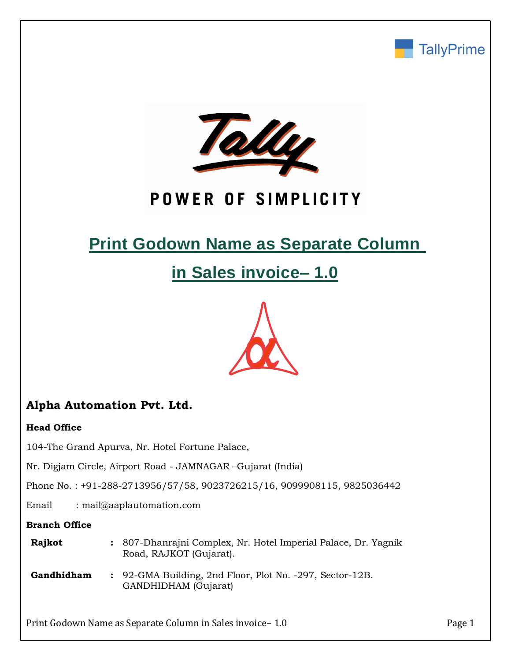



# POWER OF SIMPLICITY

# **Print Godown Name as Separate Column**

# **in Sales invoice– 1.0**



## **Alpha Automation Pvt. Ltd.**

### **Head Office**

104-The Grand Apurva, Nr. Hotel Fortune Palace,

Nr. Digjam Circle, Airport Road - JAMNAGAR –Gujarat (India)

Phone No. : +91-288-2713956/57/58, 9023726215/16, 9099908115, 9825036442

Email : mail@aaplautomation.com

### **Branch Office**

| Rajkot | 807-Dhanrajni Complex, Nr. Hotel Imperial Palace, Dr. Yagnik |
|--------|--------------------------------------------------------------|
|        | Road, RAJKOT (Gujarat).                                      |

**Gandhidham :** 92-GMA Building, 2nd Floor, Plot No. -297, Sector-12B. GANDHIDHAM (Gujarat)

Print Godown Name as Separate Column in Sales invoice – 1.0 Print Godown Name as Separate Column in Sales invoice – 1.0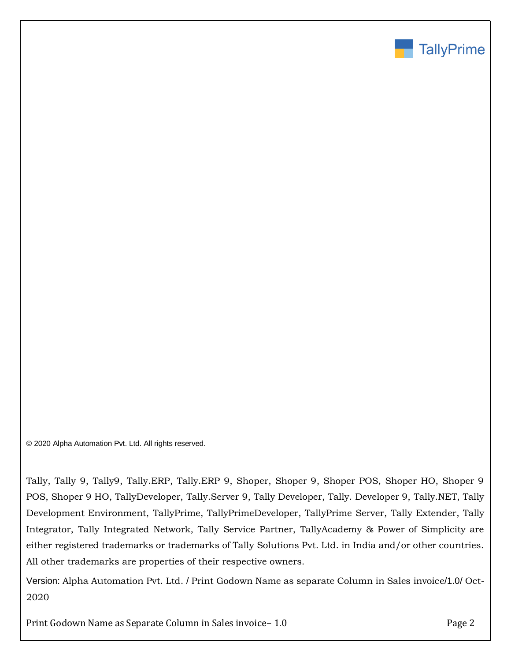

© 2020 Alpha Automation Pvt. Ltd. All rights reserved.

Tally, Tally 9, Tally9, Tally.ERP, Tally.ERP 9, Shoper, Shoper 9, Shoper POS, Shoper HO, Shoper 9 POS, Shoper 9 HO, TallyDeveloper, Tally.Server 9, Tally Developer, Tally. Developer 9, Tally.NET, Tally Development Environment, TallyPrime, TallyPrimeDeveloper, TallyPrime Server, Tally Extender, Tally Integrator, Tally Integrated Network, Tally Service Partner, TallyAcademy & Power of Simplicity are either registered trademarks or trademarks of Tally Solutions Pvt. Ltd. in India and/or other countries. All other trademarks are properties of their respective owners.

Version: Alpha Automation Pvt. Ltd. / Print Godown Name as separate Column in Sales invoice/1.0/ Oct-2020

Print Godown Name as Separate Column in Sales invoice – 1.0 Page 2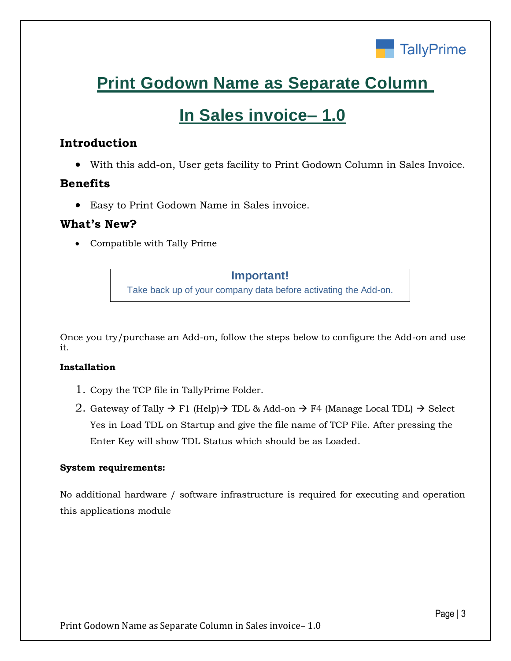

# **Print Godown Name as Separate Column**

# **In Sales invoice– 1.0**

## **Introduction**

With this add-on, User gets facility to Print Godown Column in Sales Invoice.

## **Benefits**

Easy to Print Godown Name in Sales invoice.

## **What's New?**

Compatible with Tally Prime

### **Important!**

Take back up of your company data before activating the Add-on.

Once you try/purchase an Add-on, follow the steps below to configure the Add-on and use it.

### **Installation**

- 1. Copy the TCP file in TallyPrime Folder.
- 2. Gateway of Tally  $\rightarrow$  F1 (Help)  $\rightarrow$  TDL & Add-on  $\rightarrow$  F4 (Manage Local TDL)  $\rightarrow$  Select Yes in Load TDL on Startup and give the file name of TCP File. After pressing the Enter Key will show TDL Status which should be as Loaded.

### **System requirements:**

No additional hardware / software infrastructure is required for executing and operation this applications module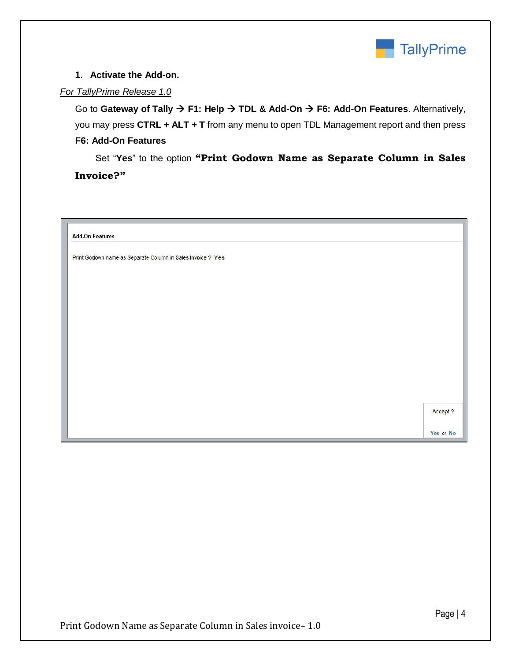

#### **1. Activate the Add-on.**

### *For TallyPrime Release 1.0*

Go to Gateway of Tally  $\rightarrow$  F1: Help  $\rightarrow$  TDL & Add-On  $\rightarrow$  F6: Add-On Features. Alternatively, you may press **CTRL + ALT + T** from any menu to open TDL Management report and then press **F6: Add-On Features**

 Set "**Yes**" to the option **"Print Godown Name as Separate Column in Sales Invoice?"**

| <b>Add-On Features</b>                                      |           |
|-------------------------------------------------------------|-----------|
| Print Godown name as Separate Column in Sales Invoice ? Yes |           |
|                                                             |           |
|                                                             |           |
|                                                             |           |
|                                                             |           |
|                                                             |           |
|                                                             |           |
|                                                             |           |
|                                                             |           |
|                                                             | Accept ?  |
|                                                             | Yes or No |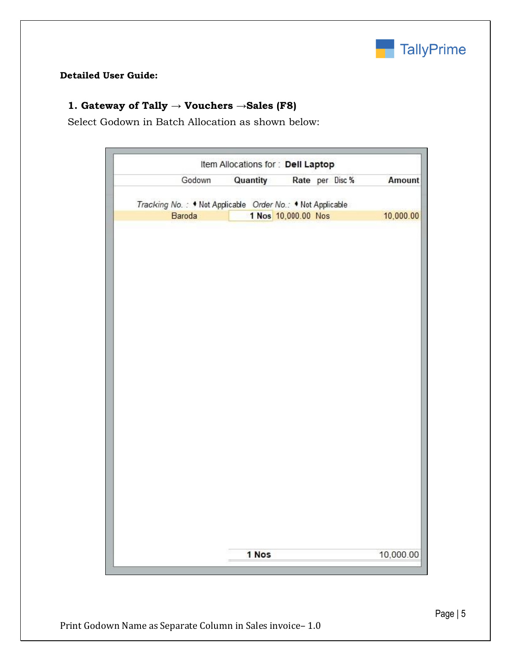

### **Detailed User Guide:**

## **1. Gateway of Tally → Vouchers →Sales (F8)**

Select Godown in Batch Allocation as shown below:

|                                                            | Item Allocations for : Dell Laptop |                     |                 |           |
|------------------------------------------------------------|------------------------------------|---------------------|-----------------|-----------|
| Godown                                                     | Quantity                           |                     | Rate per Disc % | Amount    |
|                                                            |                                    |                     |                 |           |
| Tracking No.: . Not Applicable Order No.: . Not Applicable |                                    |                     |                 |           |
| Baroda                                                     |                                    | 1 Nos 10,000.00 Nos |                 | 10,000.00 |
|                                                            |                                    |                     |                 |           |
|                                                            |                                    |                     |                 |           |
|                                                            |                                    |                     |                 |           |
|                                                            |                                    |                     |                 |           |
|                                                            |                                    |                     |                 |           |
|                                                            |                                    |                     |                 |           |
|                                                            |                                    |                     |                 |           |
|                                                            |                                    |                     |                 |           |
|                                                            |                                    |                     |                 |           |
|                                                            |                                    |                     |                 |           |
|                                                            |                                    |                     |                 |           |
|                                                            |                                    |                     |                 |           |
|                                                            |                                    |                     |                 |           |
|                                                            |                                    |                     |                 |           |
|                                                            |                                    |                     |                 |           |
|                                                            |                                    |                     |                 |           |
|                                                            |                                    |                     |                 |           |
|                                                            |                                    |                     |                 |           |
|                                                            |                                    |                     |                 |           |
|                                                            |                                    |                     |                 |           |
|                                                            |                                    |                     |                 |           |
|                                                            |                                    |                     |                 |           |
|                                                            |                                    |                     |                 |           |
|                                                            |                                    |                     |                 |           |
|                                                            |                                    |                     |                 |           |
|                                                            |                                    |                     |                 |           |
|                                                            |                                    |                     |                 |           |
|                                                            |                                    |                     |                 |           |
|                                                            |                                    |                     |                 |           |
|                                                            |                                    |                     |                 |           |
|                                                            | 1 Nos                              |                     |                 | 10,000.00 |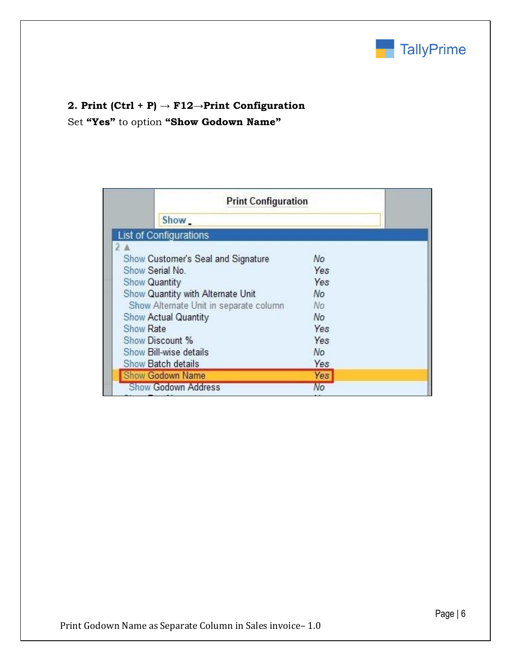

# **2. Print (Ctrl + P) → F12→Print Configuration**

Set **"Yes"** to option **"Show Godown Name"**

|                               | <b>Print Configuration</b>             |     |  |
|-------------------------------|----------------------------------------|-----|--|
| Show                          |                                        |     |  |
| <b>List of Configurations</b> |                                        |     |  |
| 2 <sub>A</sub>                |                                        |     |  |
|                               | Show Customer's Seal and Signature     | No  |  |
| Show Serial No.               |                                        | Yes |  |
| <b>Show Quantity</b>          |                                        | Yes |  |
|                               | Show Quantity with Alternate Unit      | No  |  |
|                               | Show Alternate Unit in separate column | No. |  |
| Show Actual Quantity          |                                        | No  |  |
| Show Rate                     |                                        | Yes |  |
| Show Discount %               |                                        | Yes |  |
| Show Bill-wise details        |                                        | No  |  |
| Show Batch details            |                                        | Yes |  |
| Show Godown Name              |                                        | Yes |  |
| <b>Show Godown Address</b>    |                                        | No  |  |
|                               |                                        |     |  |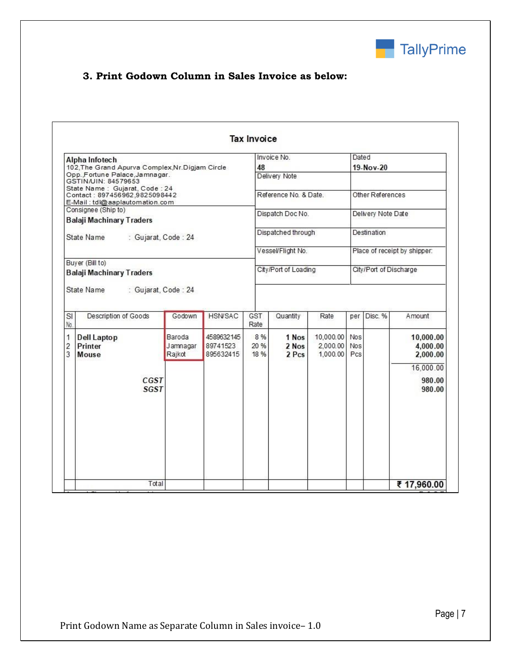

## **3. Print Godown Column in Sales Invoice as below:**

| Alpha Infotech                                                                      |                              | Invoice No.<br>48<br>Delivery Note  |                     |                         | Dated                             |                                 |                        |                                                |  |  |
|-------------------------------------------------------------------------------------|------------------------------|-------------------------------------|---------------------|-------------------------|-----------------------------------|---------------------------------|------------------------|------------------------------------------------|--|--|
| 102, The Grand Apurva Complex, Nr. Digjam Circle<br>Opp., Fortune Palace, Jamnagar. |                              |                                     |                     |                         | 19-Nov-20                         |                                 |                        |                                                |  |  |
| GSTIN/UIN: 84579653                                                                 |                              |                                     |                     |                         |                                   |                                 |                        |                                                |  |  |
| State Name: Gujarat, Code: 24<br>Contact: 897456962.9825098442                      |                              | Reference No. & Date.               |                     |                         | Other References                  |                                 |                        |                                                |  |  |
| E-Mail: tdl@aaplautomation.com<br>Consignee (Ship to)                               |                              |                                     |                     |                         |                                   |                                 |                        |                                                |  |  |
| <b>Balaji Machinary Traders</b>                                                     |                              |                                     |                     | Dispatch Doc No.        |                                   |                                 | Delivery Note Date     |                                                |  |  |
|                                                                                     |                              |                                     |                     |                         |                                   |                                 |                        |                                                |  |  |
| State Name<br>: Gujarat, Code : 24                                                  |                              |                                     |                     | Dispatched through      |                                   |                                 | Destination            |                                                |  |  |
|                                                                                     |                              |                                     |                     | Vessel/Flight No.       |                                   |                                 |                        | Place of receipt by shipper:                   |  |  |
| Buyer (Bill to)                                                                     |                              |                                     |                     |                         |                                   |                                 |                        |                                                |  |  |
| <b>Balaji Machinary Traders</b>                                                     |                              |                                     |                     | City/Port of Loading    |                                   |                                 | City/Port of Discharge |                                                |  |  |
|                                                                                     |                              |                                     |                     |                         |                                   |                                 |                        |                                                |  |  |
| Description of Goods                                                                | Godown                       | <b>HSN/SAC</b>                      | GST<br>Rate         | Quantity                | Rate                              | per                             | Disc. %                | Amount                                         |  |  |
| <b>Dell Laptop</b><br>Printer<br>Mouse                                              | Baroda<br>Jamnagar<br>Rajkot | 4589632145<br>89741523<br>895632415 | 8 %<br>20 %<br>18 % | 1 Nos<br>2 Nos<br>2 Pcs | 10,000.00<br>2,000.00<br>1,000.00 | <b>Nos</b><br><b>Nos</b><br>Pcs |                        |                                                |  |  |
|                                                                                     |                              |                                     |                     |                         |                                   |                                 |                        | 10,000.00<br>4,000.00<br>2,000.00<br>16,000.00 |  |  |
| $\overline{\mathsf{SI}}$<br>No.<br>1<br>$\overline{2}$<br>3<br>CGST<br><b>SGST</b>  |                              |                                     |                     |                         |                                   |                                 |                        | 980.00<br>980.00                               |  |  |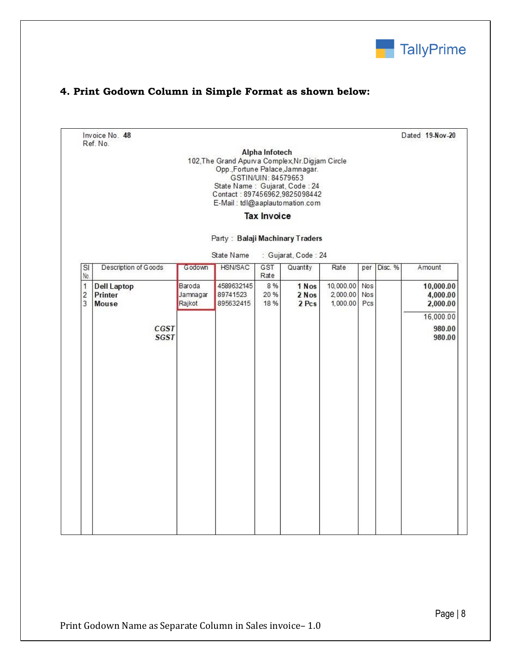

## **4. Print Godown Column in Simple Format as shown below:**

Invoice No. 48 Ref. No.

Dated 19-Nov-20

Alpha Infotech 102, The Grand Apurva Complex, Nr. Digjam Circle Opp., Fortune Palace, Jamnagar. GSTIN/UIN: 84579653 State Name: Gujarat, Code: 24 Contact: 897456962,9825098442 E-Mail: tdl@aaplautomation.com

**Tax Invoice** 

#### Party: Balaji Machinary Traders

- Guiarat, Code - 24 State Name

| $\overline{\mathsf{SI}}$<br>No.       | Description of Goods                   | Godown                       | HSN/SAC                             | GST<br>Rate         | Quantity                | Rate                              | per               | Disc. % | Amount                            |
|---------------------------------------|----------------------------------------|------------------------------|-------------------------------------|---------------------|-------------------------|-----------------------------------|-------------------|---------|-----------------------------------|
| 1<br>$\overline{c}$<br>$\overline{3}$ | <b>Dell Laptop</b><br>Printer<br>Mouse | Baroda<br>Jamnagar<br>Rajkot | 4589632145<br>89741523<br>895632415 | 8 %<br>20 %<br>18 % | 1 Nos<br>2 Nos<br>2 Pcs | 10,000.00<br>2,000.00<br>1,000.00 | Nos<br>Nos<br>Pcs |         | 10,000.00<br>4,000.00<br>2,000.00 |
|                                       | SGST                                   | CGST                         |                                     |                     |                         |                                   |                   |         | 16,000.00<br>980.00<br>980.00     |
|                                       |                                        |                              |                                     |                     |                         |                                   |                   |         |                                   |
|                                       |                                        |                              |                                     |                     |                         |                                   |                   |         |                                   |
|                                       |                                        |                              |                                     |                     |                         |                                   |                   |         |                                   |
|                                       |                                        |                              |                                     |                     |                         |                                   |                   |         |                                   |
|                                       |                                        |                              |                                     |                     |                         |                                   |                   |         |                                   |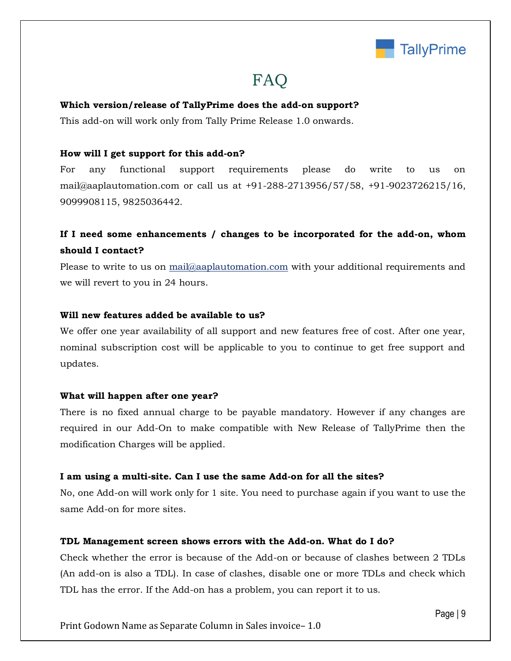

## FAQ

#### **Which version/release of TallyPrime does the add-on support?**

This add-on will work only from Tally Prime Release 1.0 onwards.

#### **How will I get support for this add-on?**

For any functional support requirements please do write to us on mail@aaplautomation.com or call us at +91-288-2713956/57/58, +91-9023726215/16, 9099908115, 9825036442.

## **If I need some enhancements / changes to be incorporated for the add-on, whom should I contact?**

Please to write to us on mail@aaplautomation.com with your additional requirements and we will revert to you in 24 hours.

#### **Will new features added be available to us?**

We offer one year availability of all support and new features free of cost. After one year, nominal subscription cost will be applicable to you to continue to get free support and updates.

#### **What will happen after one year?**

There is no fixed annual charge to be payable mandatory. However if any changes are required in our Add-On to make compatible with New Release of TallyPrime then the modification Charges will be applied.

#### **I am using a multi-site. Can I use the same Add-on for all the sites?**

No, one Add-on will work only for 1 site. You need to purchase again if you want to use the same Add-on for more sites.

#### **TDL Management screen shows errors with the Add-on. What do I do?**

Check whether the error is because of the Add-on or because of clashes between 2 TDLs (An add-on is also a TDL). In case of clashes, disable one or more TDLs and check which TDL has the error. If the Add-on has a problem, you can report it to us.